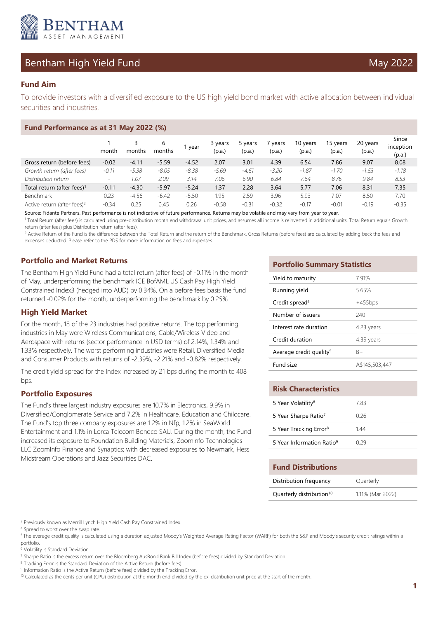

# Bentham High Yield Fund May 2022

To provide investors with a diversified exposure to the US high yield bond market with active allocation between individual securities and industries.

| Fund Performance as at 31 May 2022 (%)  |         |         |             |         |                   |                   |                 |                    |                    |                    |                              |
|-----------------------------------------|---------|---------|-------------|---------|-------------------|-------------------|-----------------|--------------------|--------------------|--------------------|------------------------------|
|                                         | month   | months  | 6<br>months | 1 year  | 3 years<br>(p.a.) | 5 years<br>(p.a.) | vears<br>(p.a.) | 10 years<br>(p.a.) | 15 years<br>(p.a.) | 20 years<br>(p.a.) | Since<br>inception<br>(p.a.) |
| Gross return (before fees)              | $-0.02$ | $-4.11$ | $-5.59$     | $-4.52$ | 2.07              | 3.01              | 4.39            | 6.54               | 7.86               | 9.07               | 8.08                         |
| Growth return (after fees)              | $-0.11$ | $-5.38$ | $-8.05$     | $-8.38$ | $-5.69$           | $-4.61$           | $-3.20$         | $-1.87$            | $-1.70$            | $-1.53$            | $-1.18$                      |
| Distribution return                     | -       | 1.07    | 2.09        | 3.14    | 7.06              | 6.90              | 6.84            | 7.64               | 8.76               | 9.84               | 8.53                         |
| Total return (after fees) <sup>1</sup>  | $-0.11$ | $-4.30$ | $-5.97$     | $-5.24$ | 1.37              | 2.28              | 3.64            | 5.77               | 7.06               | 8.31               | 7.35                         |
| Benchmark                               | 0.23    | $-4.56$ | $-6.42$     | $-5.50$ | 1.95              | 2.59              | 3.96            | 5.93               | 7.07               | 8.50               | 7.70                         |
| Active return (after fees) <sup>2</sup> | $-0.34$ | 0.25    | 0.45        | 0.26    | $-0.58$           | $-0.31$           | $-0.32$         | $-0.17$            | $-0.01$            | $-0.19$            | $-0.35$                      |

Source: Fidante Partners. Past performance is not indicative of future performance. Returns may be volatile and may vary from year to year.

<sup>1</sup> Total Return (after fees) is calculated using pre-distribution month end withdrawal unit prices, and assumes all income is reinvested in additional units. Total Return equals Growth return (after fees) plus Distribution return (after fees).

<sup>2</sup> Active Return of the Fund is the difference between the Total Return and the return of the Benchmark. Gross Returns (before fees) are calculated by adding back the fees and expenses deducted. Please refer to the PDS for more information on fees and expenses.

# **Portfolio and Market Returns**

The Bentham High Yield Fund had a total return (after fees) of -0.11% in the month of May, underperforming the benchmark ICE BofAML US Cash Pay High Yield Constrained Index3 (hedged into AUD) by 0.34%. On a before fees basis the fund returned -0.02% for the month, underperforming the benchmark by 0.25%.

## **High Yield Market**

For the month, 18 of the 23 industries had positive returns. The top performing industries in May were Wireless Communications, Cable/Wireless Video and Aerospace with returns (sector performance in USD terms) of 2.14%, 1.34% and 1.33% respectively. The worst performing industries were Retail, Diversified Media and Consumer Products with returns of -2.39%, -2.21% and -0.82% respectively.

The credit yield spread for the Index increased by 21 bps during the month to 408 bps.

## **Portfolio Exposures**

The Fund's three largest industry exposures are 10.7% in Electronics, 9.9% in Diversified/Conglomerate Service and 7.2% in Healthcare, Education and Childcare. The Fund's top three company exposures are 1.2% in Nfp, 1.2% in SeaWorld Entertainment and 1.1% in Lorca Telecom Bondco SAU. During the month, the Fund increased its exposure to Foundation Building Materials, ZoomInfo Technologies LLC ZoomInfo Finance and Synaptics; with decreased exposures to Newmark, Hess Midstream Operations and Jazz Securities DAC.

### **Portfolio Summary Statistics**

| Yield to maturity                   | 7.91%          |
|-------------------------------------|----------------|
| Running yield                       | 5.65%          |
| Credit spread <sup>4</sup>          | $+455$ bps     |
| Number of issuers                   | 240            |
| Interest rate duration              | 4.23 years     |
| Credit duration                     | 4.39 years     |
| Average credit quality <sup>5</sup> | B+             |
| Fund size                           | A\$145,503,447 |

| <b>Risk Characteristics</b>           |        |  |  |  |
|---------------------------------------|--------|--|--|--|
| 5 Year Volatility <sup>6</sup>        | 783    |  |  |  |
| 5 Year Sharpe Ratio <sup>7</sup>      | 0 26   |  |  |  |
| 5 Year Tracking Error <sup>8</sup>    | 144    |  |  |  |
| 5 Year Information Ratio <sup>9</sup> | ( ) 29 |  |  |  |

#### **Fund Distributions**

| Distribution frequency               | Quarterly        |
|--------------------------------------|------------------|
| Quarterly distribution <sup>10</sup> | 1.11% (Mar 2022) |

<sup>3</sup> Previously known as Merrill Lynch High Yield Cash Pay Constrained Index.

<sup>5</sup> The average credit quality is calculated using a duration adjusted Moody's Weighted Average Rating Factor (WARF) for both the S&P and Moody's security credit ratings within a portfolio.

6 Volatility is Standard Deviation.

<sup>8</sup> Tracking Error is the Standard Deviation of the Active Return (before fees).

<sup>4</sup> Spread to worst over the swap rate.

<sup>&</sup>lt;sup>7</sup> Sharpe Ratio is the excess return over the Bloomberg AusBond Bank Bill Index (before fees) divided by Standard Deviation.

<sup>&</sup>lt;sup>9</sup> Information Ratio is the Active Return (before fees) divided by the Tracking Error.

<sup>&</sup>lt;sup>10</sup> Calculated as the cents per unit (CPU) distribution at the month end divided by the ex-distribution unit price at the start of the month.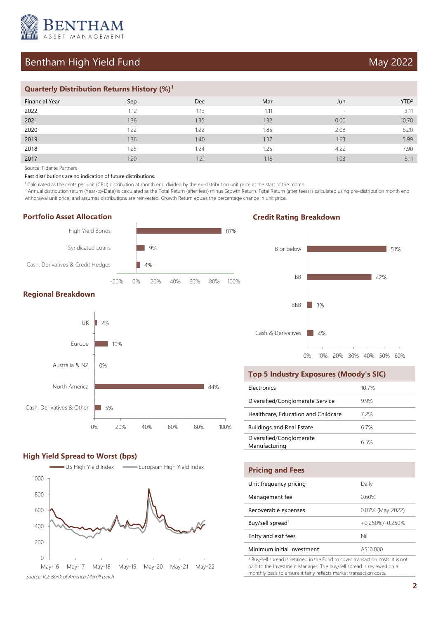

# Bentham High Yield Fund May 2022

## **Quarterly Distribution Returns History (%)<sup>1</sup>**

| <b>Financial Year</b> | Sep  | <b>Dec</b> | Mar  | Jun                      | YTD <sup>2</sup> |
|-----------------------|------|------------|------|--------------------------|------------------|
| 2022                  | 1.12 | 1.13       | 1.11 | $\overline{\phantom{a}}$ | 3.11             |
| 2021                  | 1.36 | 1.35       | 1.32 | 0.00                     | 10.78            |
| 2020                  | 1.22 | 1.22       | 1.85 | 2.08                     | 6.20             |
| 2019                  | 1.36 | 1.40       | 1.37 | 1.63                     | 5.99             |
| 2018                  | 1.25 | 1.24       | 1.25 | 4.22                     | 7.90             |
| 2017                  | 1.20 | 1.21       | 1.15 | 1.03                     | 5.11             |

Source: Fidante Partners

Past distributions are no indication of future distributions.

1 Calculated as the cents per unit (CPU) distribution at month end divided by the ex-distribution unit price at the start of the month.

<sup>2</sup> Annual distribution return (Year-to-Date) is calculated as the Total Return (after fees) minus Growth Return. Total Return (after fees) is calculated using pre-distribution month end withdrawal unit price, and assumes distributions are reinvested. Growth Return equals the percentage change in unit price.

### **Portfolio Asset Allocation**



## **Regional Breakdown**



### **High Yield Spread to Worst (bps)**



May-16 May-17 May-18 May-19 May-20 May-21 May-22 *Source: ICE Bank of America Merrill Lynch*

# **Credit Rating Breakdown**



#### **Top 5 Industry Exposures (Moody's SIC)**

| Electronics                               | $10.7\%$ |
|-------------------------------------------|----------|
| Diversified/Conglomerate Service          | 99%      |
| Healthcare, Education and Childcare       | 72%      |
| <b>Buildings and Real Estate</b>          | 67%      |
| Diversified/Conglomerate<br>Manufacturing | 65%      |

| <b>Pricing and Fees</b>      |                    |
|------------------------------|--------------------|
| Unit frequency pricing       | Daily              |
| Management fee               | 0.60%              |
| Recoverable expenses         | 0.07% (May 2022)   |
| Buy/sell spread <sup>3</sup> | $+0.250\%/0.250\%$ |
| Entry and exit fees          | Nil                |
| Minimum initial investment   | A\$10,000          |
|                              |                    |

<sup>3</sup> Buy/sell spread is retained in the Fund to cover transaction costs. It is not paid to the Investment Manager. The buy/sell spread is reviewed on a monthly basis to ensure it fairly reflects market transaction costs.